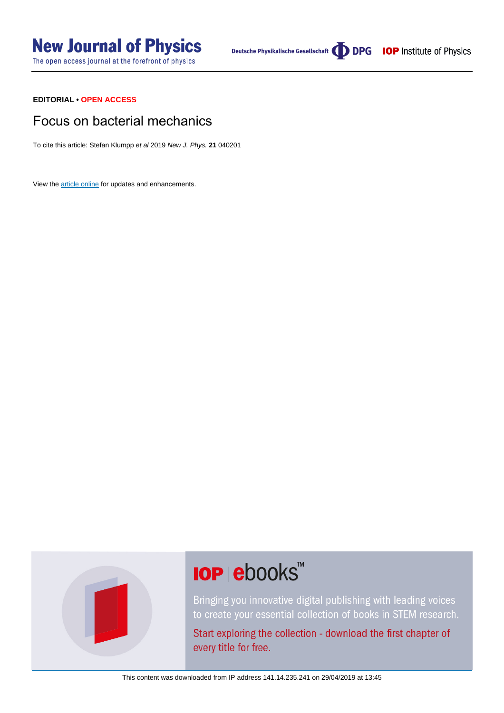The open access journal at the forefront of physics

## Focus on bacterial mechanics

To cite this article: Stefan Klumpp et al 2019 New J. Phys. **21** 040201

View the [article online](https://doi.org/10.1088/1367-2630/ab1505) for updates and enhancements.



# **IOP ebooks™**

Bringing you innovative digital publishing with leading voices to create your essential collection of books in STEM research.

Start exploring the collection - download the first chapter of every title for free.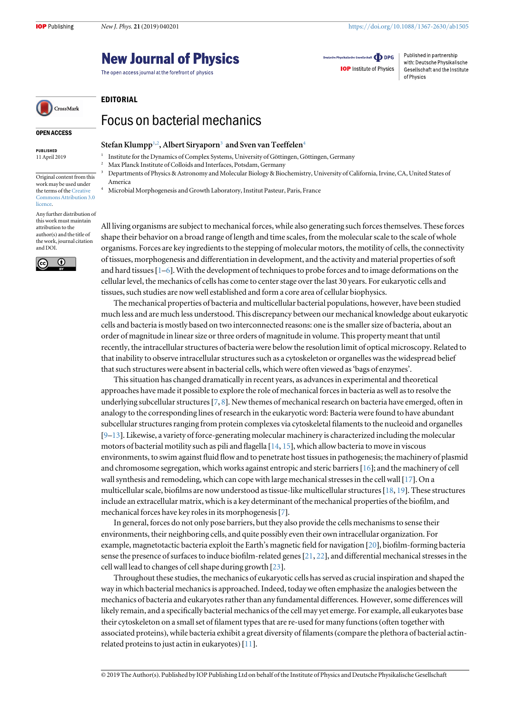EDITORIAL

## **New Journal of Physics**

The open access journal at the forefront of physics

## CrossMark

OPEN ACCESS

PUBLISHED 11 April 2019

## Focus on bacterial mechanics

#### Stefan Klumpp $^{1,2}$ , Albert Sirvaporn $^3$  and Sven van Teeffelen $^4$

- <sup>1</sup> Institute for the Dynamics of Complex Systems, University of Göttingen, Göttingen, Germany
- <sup>2</sup> Max Planck Institute of Colloids and Interfaces, Potsdam, Germany
- <sup>3</sup> Departments of Physics & Astronomy and Molecular Biology & Biochemistry, University of California, Irvine, CA, United States of America
- Microbial Morphogenesis and Growth Laboratory, Institut Pasteur, Paris, France

the terms of the [Creative](http://creativecommons.org/licenses/by/3.0) [Commons Attribution 3.0](http://creativecommons.org/licenses/by/3.0) [licence.](http://creativecommons.org/licenses/by/3.0) Any further distribution of this work must maintain attribution to the

author(s) and the title of the work, journal citation

Original content from this work may be used under



and DOI.

All living organisms are subject to mechanical forces, while also generating such forces themselves. These forces shape their behavior on a broad range of length and time scales, from the molecular scale to the scale of whole organisms. Forces are key ingredients to the stepping of molecular motors, the motility of cells, the connectivity of tissues, morphogenesis and differentiation in development, and the activity and material properties of soft and hard tissues  $[1-6]$  $[1-6]$  $[1-6]$  $[1-6]$  $[1-6]$ . With the development of techniques to probe forces and to image deformations on the cellular level, the mechanics of cells has come to center stage over the last 30 years. For eukaryotic cells and tissues, such studies are now well established and form a core area of cellular biophysics.

The mechanical properties of bacteria and multicellular bacterial populations, however, have been studied much less and are much less understood. This discrepancy between our mechanical knowledge about eukaryotic cells and bacteria is mostly based on two interconnected reasons: one is the smaller size of bacteria, about an order of magnitude in linear size or three orders of magnitude in volume. This property meant that until recently, the intracellular structures of bacteria were below the resolution limit of optical microscopy. Related to that inability to observe intracellular structures such as a cytoskeleton or organelles was the widespread belief that such structures were absent in bacterial cells, which were often viewed as'bags of enzymes'.

This situation has changed dramatically in recent years, as advances in experimental and theoretical approaches have made it possible to explore the role of mechanical forces in bacteria as well as to resolve the underlying subcellular structures[[7,](#page-3-0) [8](#page-3-0)]. New themes of mechanical research on bacteria have emerged, often in analogy to the corresponding lines of research in the eukaryotic word: Bacteria were found to have abundant subcellular structures ranging from protein complexes via cytoskeletal filaments to the nucleoid and organelles [[9](#page-3-0)–[13](#page-3-0)]. Likewise, a variety of force-generating molecular machinery is characterized including the molecular motors of bacterial motility such as pili and flagella [[14,](#page-3-0) [15](#page-3-0)], which allow bacteria to move in viscous environments, to swim against fluid flow and to penetrate host tissues in pathogenesis; the machinery of plasmid and chromosome segregation, which works against entropic and steric barriers[[16](#page-3-0)]; and the machinery of cell wall synthesis and remodeling, which can cope with large mechanical stresses in the cell wall [[17](#page-3-0)]. On a multicellular scale, biofilms are now understood as tissue-like multicellular structures[[18,](#page-3-0) [19](#page-3-0)]. These structures include an extracellular matrix, which is a key determinant of the mechanical properties of the biofilm, and mechanical forces have key roles in its morphogenesis[[7](#page-3-0)].

In general, forces do not only pose barriers, but they also provide the cells mechanisms to sense their environments, their neighboring cells, and quite possibly even their own intracellular organization. For example, magnetotactic bacteria exploit the Earth's magnetic field for navigation [[20](#page-3-0)], biofilm-forming bacteria sense the presence of surfaces to induce biofilm-related genes[[21](#page-3-0), [22](#page-3-0)], and differential mechanical stresses in the cell wall lead to changes of cell shape during growth [[23](#page-3-0)].

Throughout these studies, the mechanics of eukaryotic cells has served as crucial inspiration and shaped the way in which bacterial mechanics is approached. Indeed, today we often emphasize the analogies between the mechanics of bacteria and eukaryotes rather than any fundamental differences. However, some differences will likely remain, and a specifically bacterial mechanics of the cell may yet emerge. For example, all eukaryotes base their cytoskeleton on a small set of filament types that are re-used for many functions(often together with associated proteins), while bacteria exhibit a great diversity of filaments(compare the plethora of bacterial actinrelated proteins to just actin in eukaryotes) [[11](#page-3-0)].

Deutsche Physikalische Gesellschaft **DDPG** 

**IOP** Institute of Physics

Published in partnership with: Deutsche Physikalische Gesellschaft and the Institute of Physics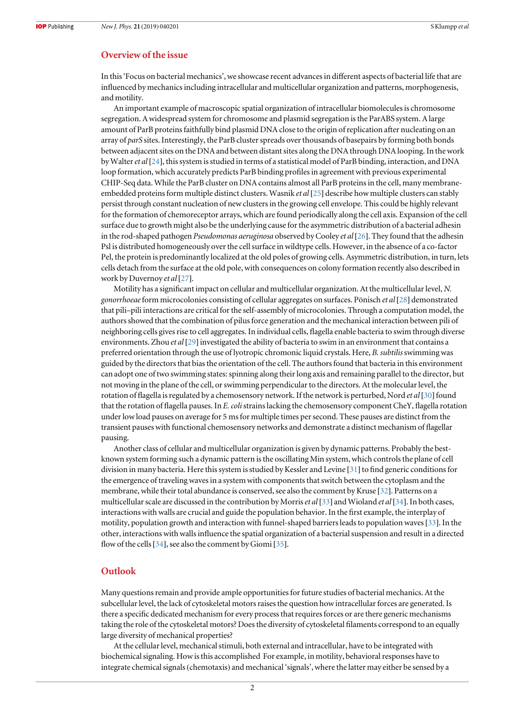#### Overview of the issue

In this'Focus on bacterial mechanics', we showcase recent advances in different aspects of bacterial life that are influenced by mechanics including intracellular and multicellular organization and patterns, morphogenesis, and motility.

An important example of macroscopic spatial organization of intracellular biomolecules is chromosome segregation. A widespread system for chromosome and plasmid segregation is the ParABS system. A large amount of ParB proteins faithfully bind plasmid DNA close to the origin of replication after nucleating on an array of parS sites. Interestingly, the ParB cluster spreads over thousands of basepairs by forming both bonds between adjacent sites on the DNA and between distant sites along the DNA through DNA looping. In the work by Walter et al [[24](#page-3-0)], this system is studied in terms of a statistical model of ParB binding, interaction, and DNA loop formation, which accurately predicts ParB binding profiles in agreement with previous experimental CHIP-Seq data. While the ParB cluster on DNA contains almost all ParB proteins in the cell, many membrane-embedded proteins form multiple distinct clusters. Wasnik et al [[25](#page-3-0)] describe how multiple clusters can stably persist through constant nucleation of new clusters in the growing cell envelope. This could be highly relevant for the formation of chemoreceptor arrays, which are found periodically along the cell axis. Expansion of the cell surface due to growth might also be the underlying cause for the asymmetric distribution of a bacterial adhesin in the rod-shaped pathogen Pseudomonas aeruginosa observed by Cooley et al [[26](#page-3-0)]. They found that the adhesin Psl is distributed homogeneously over the cell surface in wildtype cells. However, in the absence of a co-factor Pel, the protein is predominantly localized at the old poles of growing cells. Asymmetric distribution, in turn, lets cells detach from the surface at the old pole, with consequences on colony formation recently also described in work by Duvernoy et al [[27](#page-3-0)].

Motility has a significant impact on cellular and multicellular organization. At the multicellular level, N. gonorrhoeaeform microcolonies consisting of cellular aggregates on surfaces. Pönisch et al [[28](#page-3-0)] demonstrated that pili–pili interactions are critical for the self-assembly of microcolonies. Through a computation model, the authors showed that the combination of pilus force generation and the mechanical interaction between pili of neighboring cells gives rise to cell aggregates. In individual cells, flagella enable bacteria to swim through diverse environments. Zhou et al [[29](#page-3-0)] investigated the ability of bacteria to swim in an environment that contains a preferred orientation through the use of lyotropic chromonic liquid crystals. Here, B. subtilis swimming was guided by the directors that bias the orientation of the cell. The authors found that bacteria in this environment can adopt one of two swimming states: spinning along their long axis and remaining parallel to the director, but not moving in the plane of the cell, or swimming perpendicular to the directors. At the molecular level, the rotation of flagella is regulated by a chemosensory network. If the network is perturbed, Nord et al [[30](#page-3-0)] found that the rotation of flagella pauses. In E. colistrains lacking the chemosensory component CheY, flagella rotation under low load pauses on average for 5 ms for multiple times per second. These pauses are distinct from the transient pauses with functional chemosensory networks and demonstrate a distinct mechanism of flagellar pausing.

Another class of cellular and multicellular organization is given by dynamic patterns. Probably the bestknown system forming such a dynamic pattern is the oscillating Min system, which controls the plane of cell division in many bacteria. Here this system is studied by Kessler and Levine [[31](#page-3-0)] to find generic conditions for the emergence of traveling waves in a system with components that switch between the cytoplasm and the membrane, while their total abundance is conserved, see also the comment by Kruse [[32](#page-3-0)]. Patterns on a multicellular scale are discussed in the contribution by Morris *et al* [[33](#page-3-0)] and Wioland *et al* [[34](#page-3-0)]. In both cases, interactions with walls are crucial and guide the population behavior. In the first example, the interplay of motility, population growth and interaction with funnel-shaped barriers leads to population waves[[33](#page-3-0)]. In the other, interactions with walls influence the spatial organization of a bacterial suspension and result in a directed flow of the cells [[34](#page-3-0)], see also the comment by Giomi [[35](#page-3-0)].

### **Outlook**

Many questions remain and provide ample opportunities for future studies of bacterial mechanics. At the subcellular level, the lack of cytoskeletal motors raises the question how intracellular forces are generated. Is there a specific dedicated mechanism for every process that requires forces or are there generic mechanisms taking the role of the cytoskeletal motors? Does the diversity of cytoskeletal filaments correspond to an equally large diversity of mechanical properties?

At the cellular level, mechanical stimuli, both external and intracellular, have to be integrated with biochemical signaling. How is this accomplished For example, in motility, behavioral responses have to integrate chemical signals(chemotaxis) and mechanical 'signals', where the latter may either be sensed by a